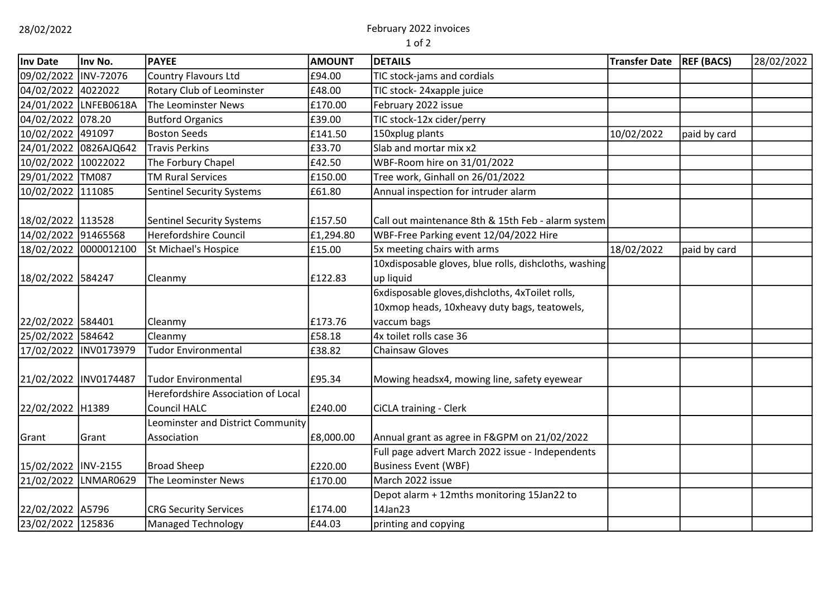# 28/02/2022 February 2022 invoices

| Inv Date             | Inv No.               | <b>PAYEE</b>                       | <b>AMOUNT</b> | <b>DETAILS</b>                                        | <b>Transfer Date</b> | <b>REF (BACS)</b> | 28/02/2022 |
|----------------------|-----------------------|------------------------------------|---------------|-------------------------------------------------------|----------------------|-------------------|------------|
| 09/02/2022 INV-72076 |                       | <b>Country Flavours Ltd</b>        | £94.00        | TIC stock-jams and cordials                           |                      |                   |            |
| 04/02/2022 4022022   |                       | Rotary Club of Leominster          | £48.00        | TIC stock-24xapple juice                              |                      |                   |            |
|                      | 24/01/2022 LNFEB0618A | The Leominster News                | £170.00       | February 2022 issue                                   |                      |                   |            |
| 04/02/2022 078.20    |                       | <b>Butford Organics</b>            | £39.00        | TIC stock-12x cider/perry                             |                      |                   |            |
| 10/02/2022 491097    |                       | <b>Boston Seeds</b>                | £141.50       | 150xplug plants                                       | 10/02/2022           | paid by card      |            |
|                      | 24/01/2022 0826AJQ642 | <b>Travis Perkins</b>              | £33.70        | Slab and mortar mix x2                                |                      |                   |            |
| 10/02/2022 10022022  |                       | The Forbury Chapel                 | £42.50        | WBF-Room hire on 31/01/2022                           |                      |                   |            |
| 29/01/2022 TM087     |                       | <b>TM Rural Services</b>           | £150.00       | Tree work, Ginhall on 26/01/2022                      |                      |                   |            |
| 10/02/2022 111085    |                       | <b>Sentinel Security Systems</b>   | £61.80        | Annual inspection for intruder alarm                  |                      |                   |            |
|                      |                       |                                    |               |                                                       |                      |                   |            |
| 18/02/2022 113528    |                       | <b>Sentinel Security Systems</b>   | £157.50       | Call out maintenance 8th & 15th Feb - alarm system    |                      |                   |            |
| 14/02/2022 91465568  |                       | <b>Herefordshire Council</b>       | £1,294.80     | WBF-Free Parking event 12/04/2022 Hire                |                      |                   |            |
|                      | 18/02/2022 0000012100 | St Michael's Hospice               | £15.00        | 5x meeting chairs with arms                           | 18/02/2022           | paid by card      |            |
|                      |                       |                                    |               | 10xdisposable gloves, blue rolls, dishcloths, washing |                      |                   |            |
| 18/02/2022 584247    |                       | Cleanmy                            | £122.83       | up liquid                                             |                      |                   |            |
|                      |                       |                                    |               | 6xdisposable gloves, dishcloths, 4xToilet rolls,      |                      |                   |            |
|                      |                       |                                    |               | 10xmop heads, 10xheavy duty bags, teatowels,          |                      |                   |            |
| 22/02/2022 584401    |                       | Cleanmy                            | £173.76       | vaccum bags                                           |                      |                   |            |
| 25/02/2022 584642    |                       | Cleanmy                            | £58.18        | 4x toilet rolls case 36                               |                      |                   |            |
|                      | 17/02/2022 INV0173979 | <b>Tudor Environmental</b>         | £38.82        | <b>Chainsaw Gloves</b>                                |                      |                   |            |
|                      |                       |                                    |               |                                                       |                      |                   |            |
|                      | 21/02/2022 INV0174487 | <b>Tudor Environmental</b>         | £95.34        | Mowing headsx4, mowing line, safety eyewear           |                      |                   |            |
|                      |                       | Herefordshire Association of Local |               |                                                       |                      |                   |            |
| 22/02/2022 H1389     |                       | <b>Council HALC</b>                | £240.00       | <b>CiCLA training - Clerk</b>                         |                      |                   |            |
|                      |                       | Leominster and District Community  |               |                                                       |                      |                   |            |
| Grant                | Grant                 | Association                        | £8,000.00     | Annual grant as agree in F&GPM on 21/02/2022          |                      |                   |            |
|                      |                       |                                    |               | Full page advert March 2022 issue - Independents      |                      |                   |            |
| 15/02/2022 INV-2155  |                       | <b>Broad Sheep</b>                 | £220.00       | <b>Business Event (WBF)</b>                           |                      |                   |            |
|                      | 21/02/2022 LNMAR0629  | The Leominster News                | £170.00       | March 2022 issue                                      |                      |                   |            |
|                      |                       |                                    |               | Depot alarm + 12mths monitoring 15Jan22 to            |                      |                   |            |
| 22/02/2022 A5796     |                       | <b>CRG Security Services</b>       | £174.00       | 14Jan23                                               |                      |                   |            |
| 23/02/2022 125836    |                       | <b>Managed Technology</b>          | £44.03        | printing and copying                                  |                      |                   |            |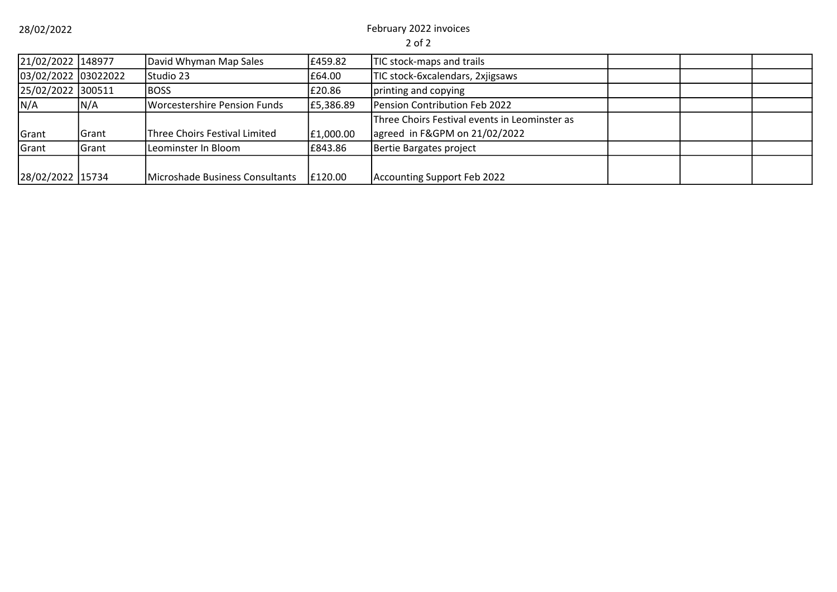28/02/2022 February 2022 invoices

| 21/02/2022 148977   |       | David Whyman Map Sales          | £459.82   | TIC stock-maps and trails                     |  |  |
|---------------------|-------|---------------------------------|-----------|-----------------------------------------------|--|--|
| 03/02/2022 03022022 |       | Studio 23                       | £64.00    | TIC stock-6xcalendars, 2xjigsaws              |  |  |
| 25/02/2022 300511   |       | <b>BOSS</b>                     | £20.86    | printing and copying                          |  |  |
| N/A                 | N/A   | Worcestershire Pension Funds    | £5,386.89 | Pension Contribution Feb 2022                 |  |  |
|                     |       |                                 |           | Three Choirs Festival events in Leominster as |  |  |
| Grant               | Grant | Three Choirs Festival Limited   | £1,000.00 | agreed in F&GPM on 21/02/2022                 |  |  |
| Grant               | Grant | Leominster In Bloom             | £843.86   | Bertie Bargates project                       |  |  |
|                     |       |                                 |           |                                               |  |  |
| 28/02/2022 15734    |       | Microshade Business Consultants | E120.00   | Accounting Support Feb 2022                   |  |  |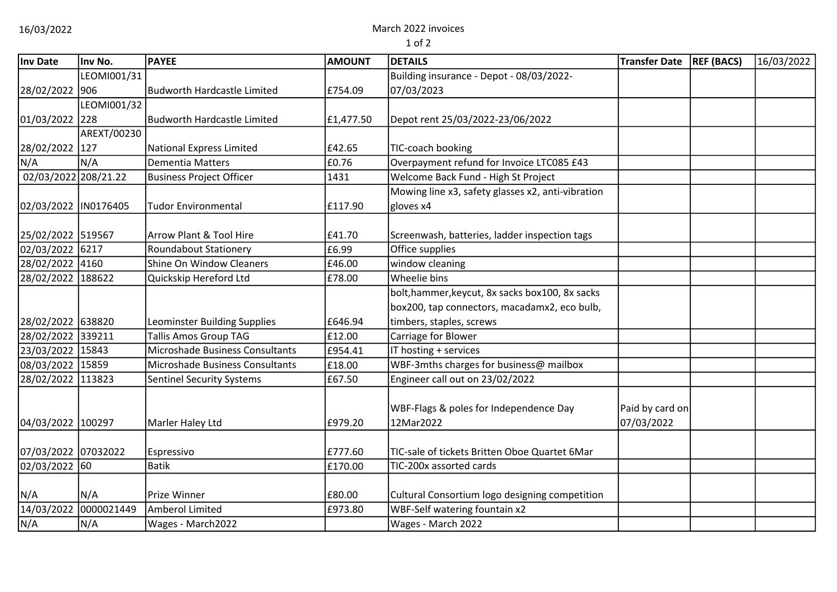16/03/2022 March 2022 invoices

| Inv Date             | Inv No.           | <b>PAYEE</b>                           | <b>AMOUNT</b> | <b>DETAILS</b>                                    | <b>Transfer Date</b> | <b>REF (BACS)</b> | 16/03/2022 |
|----------------------|-------------------|----------------------------------------|---------------|---------------------------------------------------|----------------------|-------------------|------------|
|                      | LEOMI001/31       |                                        |               | Building insurance - Depot - 08/03/2022-          |                      |                   |            |
| 28/02/2022 906       |                   | Budworth Hardcastle Limited            | £754.09       | 07/03/2023                                        |                      |                   |            |
|                      | LEOMI001/32       |                                        |               |                                                   |                      |                   |            |
| 01/03/2022           | 228               | Budworth Hardcastle Limited            | £1,477.50     | Depot rent 25/03/2022-23/06/2022                  |                      |                   |            |
|                      | AREXT/00230       |                                        |               |                                                   |                      |                   |            |
| 28/02/2022 127       |                   | National Express Limited               | £42.65        | TIC-coach booking                                 |                      |                   |            |
| N/A                  | N/A               | Dementia Matters                       | £0.76         | Overpayment refund for Invoice LTC085 £43         |                      |                   |            |
| 02/03/2022 208/21.22 |                   | <b>Business Project Officer</b>        | 1431          | Welcome Back Fund - High St Project               |                      |                   |            |
|                      |                   |                                        |               | Mowing line x3, safety glasses x2, anti-vibration |                      |                   |            |
| 02/03/2022 IN0176405 |                   | <b>Tudor Environmental</b>             | £117.90       | gloves x4                                         |                      |                   |            |
|                      |                   |                                        |               |                                                   |                      |                   |            |
| 25/02/2022 519567    |                   | Arrow Plant & Tool Hire                | £41.70        | Screenwash, batteries, ladder inspection tags     |                      |                   |            |
| 02/03/2022 6217      |                   | <b>Roundabout Stationery</b>           | £6.99         | Office supplies                                   |                      |                   |            |
| 28/02/2022 4160      |                   | Shine On Window Cleaners               | £46.00        | window cleaning                                   |                      |                   |            |
| 28/02/2022 188622    |                   | Quickskip Hereford Ltd                 | £78.00        | Wheelie bins                                      |                      |                   |            |
|                      |                   |                                        |               | bolt, hammer, keycut, 8x sacks box100, 8x sacks   |                      |                   |            |
|                      |                   |                                        |               | box200, tap connectors, macadamx2, eco bulb,      |                      |                   |            |
| 28/02/2022 638820    |                   | Leominster Building Supplies           | £646.94       | timbers, staples, screws                          |                      |                   |            |
| 28/02/2022 339211    |                   | <b>Tallis Amos Group TAG</b>           | £12.00        | Carriage for Blower                               |                      |                   |            |
| 23/03/2022 15843     |                   | Microshade Business Consultants        | £954.41       | IT hosting + services                             |                      |                   |            |
| 08/03/2022 15859     |                   | Microshade Business Consultants        | £18.00        | WBF-3mths charges for business@ mailbox           |                      |                   |            |
| 28/02/2022 113823    |                   | <b>Sentinel Security Systems</b>       | £67.50        | Engineer call out on 23/02/2022                   |                      |                   |            |
|                      |                   |                                        |               | WBF-Flags & poles for Independence Day            | Paid by card on      |                   |            |
| 04/03/2022 100297    |                   | Marler Haley Ltd                       | £979.20       | 12Mar2022                                         | 07/03/2022           |                   |            |
|                      |                   |                                        |               |                                                   |                      |                   |            |
| 07/03/2022 07032022  |                   | Espressivo                             | £777.60       | TIC-sale of tickets Britten Oboe Quartet 6Mar     |                      |                   |            |
| 02/03/2022 60        |                   | <b>Batik</b>                           | £170.00       | TIC-200x assorted cards                           |                      |                   |            |
|                      |                   |                                        |               |                                                   |                      |                   |            |
| N/A                  | N/A<br>0000021449 | Prize Winner<br><b>Amberol Limited</b> | £80.00        | Cultural Consortium logo designing competition    |                      |                   |            |
| 14/03/2022           |                   |                                        | £973.80       | WBF-Self watering fountain x2                     |                      |                   |            |
| N/A                  | N/A               | Wages - March2022                      |               | Wages - March 2022                                |                      |                   |            |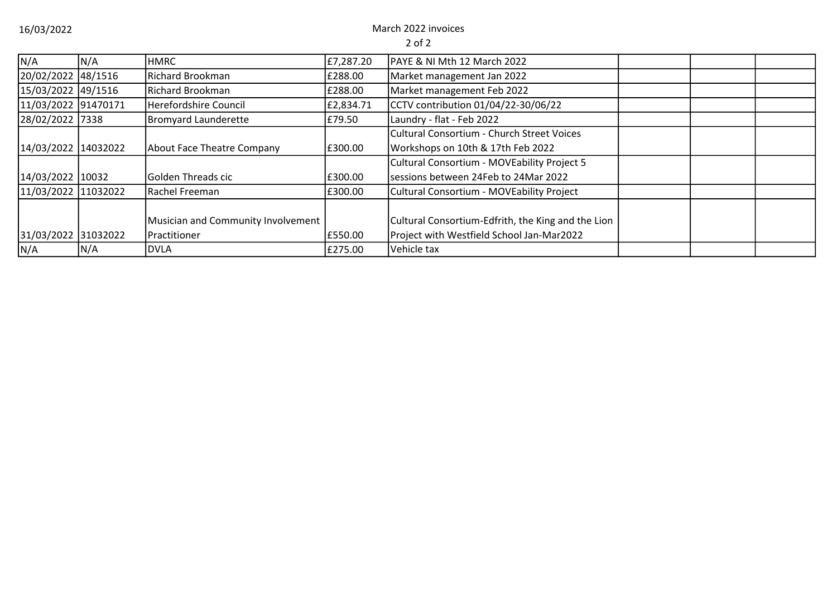16/03/2022 March 2022 invoices

| N/A                 | N/A | <b>HMRC</b>                        | £7,287.20 | <b>PAYE &amp; NI Mth 12 March 2022</b>             |  |  |
|---------------------|-----|------------------------------------|-----------|----------------------------------------------------|--|--|
| 20/02/2022 48/1516  |     | Richard Brookman                   | £288.00   | Market management Jan 2022                         |  |  |
| 15/03/2022 49/1516  |     | Richard Brookman                   | £288.00   | Market management Feb 2022                         |  |  |
| 11/03/2022 91470171 |     | <b>Herefordshire Council</b>       | £2,834.71 | CCTV contribution 01/04/22-30/06/22                |  |  |
| 28/02/2022 7338     |     | <b>Bromyard Launderette</b>        | £79.50    | Laundry - flat - Feb 2022                          |  |  |
|                     |     |                                    |           | Cultural Consortium - Church Street Voices         |  |  |
| 14/03/2022 14032022 |     | About Face Theatre Company         | £300.00   | Workshops on 10th & 17th Feb 2022                  |  |  |
|                     |     |                                    |           | Cultural Consortium - MOVEability Project 5        |  |  |
| 14/03/2022 10032    |     | Golden Threads cic                 | £300.00   | sessions between 24Feb to 24Mar 2022               |  |  |
| 11/03/2022 11032022 |     | Rachel Freeman                     | £300.00   | Cultural Consortium - MOVEability Project          |  |  |
|                     |     |                                    |           |                                                    |  |  |
|                     |     | Musician and Community Involvement |           | Cultural Consortium-Edfrith, the King and the Lion |  |  |
| 31/03/2022 31032022 |     | Practitioner                       | £550.00   | Project with Westfield School Jan-Mar2022          |  |  |
| N/A                 | N/A | <b>DVLA</b>                        | £275.00   | Vehicle tax                                        |  |  |
|                     |     |                                    |           |                                                    |  |  |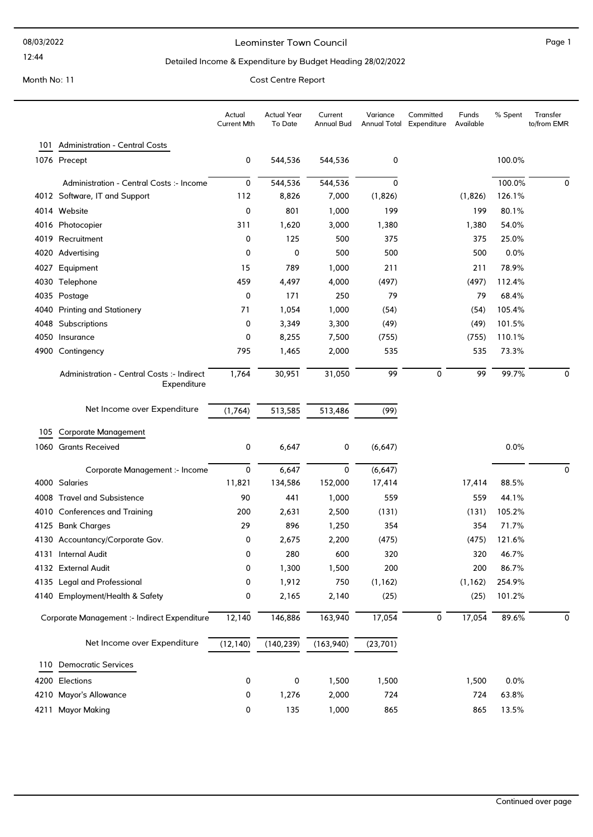#### Leominster Town Council and the contract of the Page 1

### Detailed Income & Expenditure by Budget Heading 28/02/2022

|      |                                                           | Actual<br>Current Mth | <b>Actual Year</b><br>To Date | Current<br>Annual Bud | Variance  | Committed<br>Annual Total Expenditure | Funds<br>Available | % Spent | Transfer<br>to/from EMR |
|------|-----------------------------------------------------------|-----------------------|-------------------------------|-----------------------|-----------|---------------------------------------|--------------------|---------|-------------------------|
|      | 101 Administration - Central Costs                        |                       |                               |                       |           |                                       |                    |         |                         |
|      | 1076 Precept                                              | 0                     | 544,536                       | 544,536               | 0         |                                       |                    | 100.0%  |                         |
|      | Administration - Central Costs :- Income                  | 0                     | 544,536                       | 544,536               | 0         |                                       |                    | 100.0%  | 0                       |
|      | 4012 Software, IT and Support                             | 112                   | 8,826                         | 7,000                 | (1,826)   |                                       | (1,826)            | 126.1%  |                         |
|      | 4014 Website                                              | 0                     | 801                           | 1,000                 | 199       |                                       | 199                | 80.1%   |                         |
|      | 4016 Photocopier                                          | 311                   | 1,620                         | 3,000                 | 1,380     |                                       | 1,380              | 54.0%   |                         |
|      | 4019 Recruitment                                          | 0                     | 125                           | 500                   | 375       |                                       | 375                | 25.0%   |                         |
|      | 4020 Advertising                                          | 0                     | 0                             | 500                   | 500       |                                       | 500                | 0.0%    |                         |
| 4027 | Equipment                                                 | 15                    | 789                           | 1,000                 | 211       |                                       | 211                | 78.9%   |                         |
| 4030 | Telephone                                                 | 459                   | 4,497                         | 4,000                 | (497)     |                                       | (497)              | 112.4%  |                         |
|      | 4035 Postage                                              | 0                     | 171                           | 250                   | 79        |                                       | 79                 | 68.4%   |                         |
| 4040 | <b>Printing and Stationery</b>                            | 71                    | 1,054                         | 1,000                 | (54)      |                                       | (54)               | 105.4%  |                         |
|      | 4048 Subscriptions                                        | 0                     | 3,349                         | 3,300                 | (49)      |                                       | (49)               | 101.5%  |                         |
|      | 4050 Insurance                                            | 0                     | 8,255                         | 7,500                 | (755)     |                                       | (755)              | 110.1%  |                         |
| 4900 | Contingency                                               | 795                   | 1,465                         | 2,000                 | 535       |                                       | 535                | 73.3%   |                         |
|      | Administration - Central Costs :- Indirect<br>Expenditure | 1,764                 | 30,951                        | 31,050                | 99        | 0                                     | 99                 | 99.7%   | 0                       |
|      | Net Income over Expenditure                               | (1,764)               | 513,585                       | 513,486               | (99)      |                                       |                    |         |                         |
| 105  | <b>Corporate Management</b>                               |                       |                               |                       |           |                                       |                    |         |                         |
|      | 1060 Grants Received                                      | 0                     | 6,647                         | 0                     | (6, 647)  |                                       |                    | 0.0%    |                         |
|      |                                                           |                       |                               |                       |           |                                       |                    |         |                         |
|      | Corporate Management :- Income                            | 0                     | 6,647                         | 0                     | (6, 647)  |                                       |                    |         | 0                       |
|      | 4000 Salaries                                             | 11,821                | 134,586                       | 152,000               | 17,414    |                                       | 17,414             | 88.5%   |                         |
|      | 4008 Travel and Subsistence                               | 90                    | 441                           | 1,000                 | 559       |                                       | 559                | 44.1%   |                         |
| 4010 | <b>Conferences and Training</b>                           | 200                   | 2,631                         | 2,500                 | (131)     |                                       | (131)              | 105.2%  |                         |
|      | 4125 Bank Charges                                         | 29                    | 896                           | 1,250                 | 354       |                                       | 354                | 71.7%   |                         |
|      | 4130 Accountancy/Corporate Gov.                           | 0                     | 2,675                         | 2,200                 | (475)     |                                       | (475)              | 121.6%  |                         |
|      | 4131 Internal Audit                                       | 0                     | 280                           | 600                   | 320       |                                       | 320                | 46.7%   |                         |
|      | 4132 External Audit                                       | 0                     | 1,300                         | 1,500                 | 200       |                                       | 200                | 86.7%   |                         |
|      | 4135 Legal and Professional                               | 0                     | 1,912                         | 750                   | (1, 162)  |                                       | (1, 162)           | 254.9%  |                         |
|      | 4140 Employment/Health & Safety                           | 0                     | 2,165                         | 2,140                 | (25)      |                                       | (25)               | 101.2%  |                         |
|      | Corporate Management :- Indirect Expenditure              | 12,140                | 146,886                       | 163,940               | 17,054    | 0                                     | 17,054             | 89.6%   | 0                       |
|      | Net Income over Expenditure                               | (12, 140)             | (140, 239)                    | (163, 940)            | (23, 701) |                                       |                    |         |                         |
| 110  | <b>Democratic Services</b>                                |                       |                               |                       |           |                                       |                    |         |                         |
|      | 4200 Elections                                            | 0                     | 0                             | 1,500                 | 1,500     |                                       | 1,500              | 0.0%    |                         |
|      | 4210 Mayor's Allowance                                    | 0                     | 1,276                         | 2,000                 | 724       |                                       | 724                | 63.8%   |                         |
|      | 4211 Mayor Making                                         | 0                     | 135                           | 1,000                 | 865       |                                       | 865                | 13.5%   |                         |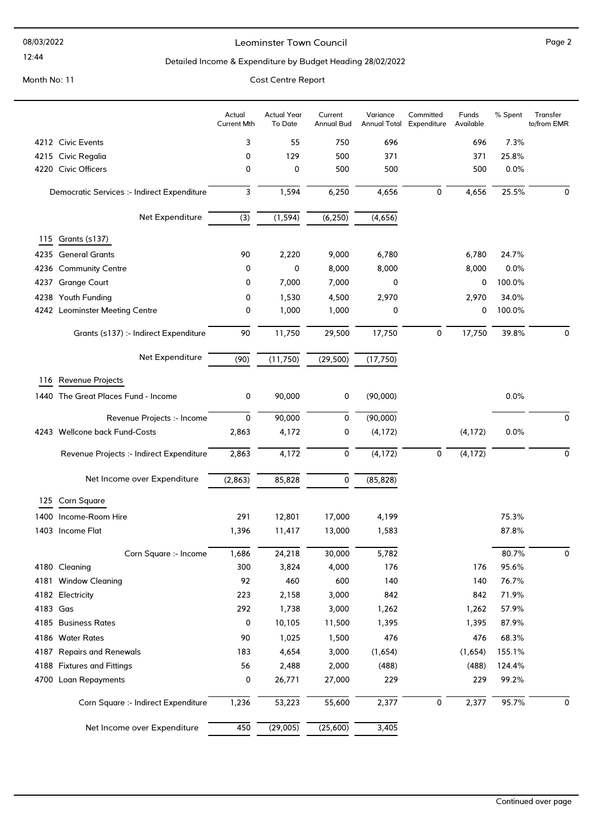#### Leominster Town Council and the contract of the Page 2

### Detailed Income & Expenditure by Budget Heading 28/02/2022

|          |                                             | Actual<br><b>Current Mth</b> | <b>Actual Year</b><br>To Date | Current<br><b>Annual Bud</b> | Variance<br><b>Annual Total</b> | Committed<br>Expenditure | Funds<br>Available | % Spent | Transfer<br>to/from EMR |
|----------|---------------------------------------------|------------------------------|-------------------------------|------------------------------|---------------------------------|--------------------------|--------------------|---------|-------------------------|
|          | 4212 Civic Events                           | 3                            | 55                            | 750                          | 696                             |                          | 696                | 7.3%    |                         |
|          | 4215 Civic Regalia                          | 0                            | 129                           | 500                          | 371                             |                          | 371                | 25.8%   |                         |
|          | 4220 Civic Officers                         | 0                            | 0                             | 500                          | 500                             |                          | 500                | 0.0%    |                         |
|          | Democratic Services :- Indirect Expenditure | 3                            | 1,594                         | 6,250                        | 4,656                           | 0                        | 4,656              | 25.5%   | 0                       |
|          | Net Expenditure                             | (3)                          | (1, 594)                      | (6, 250)                     | (4,656)                         |                          |                    |         |                         |
| 115      | Grants (s137)                               |                              |                               |                              |                                 |                          |                    |         |                         |
|          | 4235 General Grants                         | 90                           | 2,220                         | 9,000                        | 6,780                           |                          | 6,780              | 24.7%   |                         |
|          | 4236 Community Centre                       | 0                            | 0                             | 8,000                        | 8,000                           |                          | 8,000              | 0.0%    |                         |
| 4237     | <b>Grange Court</b>                         | 0                            | 7,000                         | 7,000                        | 0                               |                          | 0                  | 100.0%  |                         |
|          | 4238 Youth Funding                          | 0                            | 1,530                         | 4,500                        | 2,970                           |                          | 2,970              | 34.0%   |                         |
|          | 4242 Leominster Meeting Centre              | 0                            | 1,000                         | 1,000                        | 0                               |                          | 0                  | 100.0%  |                         |
|          | Grants (s137) :- Indirect Expenditure       | $90\,$                       | 11,750                        | 29,500                       | 17,750                          | 0                        | 17,750             | 39.8%   | 0                       |
|          | Net Expenditure                             | (90)                         | (11, 750)                     | (29, 500)                    | (17, 750)                       |                          |                    |         |                         |
|          | 116 Revenue Projects                        |                              |                               |                              |                                 |                          |                    |         |                         |
|          | 1440 The Great Places Fund - Income         | 0                            | 90,000                        | 0                            | (90,000)                        |                          |                    | 0.0%    |                         |
|          | Revenue Projects :- Income                  | $\mathbf 0$                  | 90,000                        | 0                            | (90,000)                        |                          |                    |         | 0                       |
|          | 4243 Wellcone back Fund-Costs               | 2,863                        | 4,172                         | 0                            | (4, 172)                        |                          | (4, 172)           | 0.0%    |                         |
|          | Revenue Projects :- Indirect Expenditure    | 2,863                        | 4,172                         | $\mathbf 0$                  | (4, 172)                        | 0                        | (4, 172)           |         | 0                       |
|          | Net Income over Expenditure                 | (2,863)                      | 85,828                        | $\mathbf 0$                  | (85, 828)                       |                          |                    |         |                         |
| 125      | <b>Corn Square</b>                          |                              |                               |                              |                                 |                          |                    |         |                         |
|          | 1400 Income-Room Hire                       | 291                          | 12,801                        | 17,000                       | 4,199                           |                          |                    | 75.3%   |                         |
|          | 1403 Income Flat                            | 1,396                        | 11,417                        | 13,000                       | 1,583                           |                          |                    | 87.8%   |                         |
|          | Corn Square :- Income                       | 1,686                        | 24,218                        | 30,000                       | 5,782                           |                          |                    | 80.7%   | 0                       |
|          | 4180 Cleaning                               | 300                          | 3,824                         | 4,000                        | 176                             |                          | 176                | 95.6%   |                         |
|          | 4181 Window Cleaning                        | 92                           | 460                           | 600                          | 140                             |                          | 140                | 76.7%   |                         |
|          | 4182 Electricity                            | 223                          | 2,158                         | 3,000                        | 842                             |                          | 842                | 71.9%   |                         |
| 4183 Gas |                                             | 292                          | 1,738                         | 3,000                        | 1,262                           |                          | 1,262              | 57.9%   |                         |
|          | 4185 Business Rates                         | 0                            | 10,105                        | 11,500                       | 1,395                           |                          | 1,395              | 87.9%   |                         |
|          | 4186 Water Rates                            | 90                           | 1,025                         | 1,500                        | 476                             |                          | 476                | 68.3%   |                         |
|          | 4187 Repairs and Renewals                   | 183                          | 4,654                         | 3,000                        | (1,654)                         |                          | (1,654)            | 155.1%  |                         |
|          | 4188 Fixtures and Fittings                  | 56                           | 2,488                         | 2,000                        | (488)                           |                          | (488)              | 124.4%  |                         |
|          | 4700 Loan Repayments                        | 0                            | 26,771                        | 27,000                       | 229                             |                          | 229                | 99.2%   |                         |
|          | Corn Square :- Indirect Expenditure         | 1,236                        | 53,223                        | 55,600                       | 2,377                           | 0                        | 2,377              | 95.7%   | 0                       |
|          | Net Income over Expenditure                 | $\overline{450}$             | (29,005)                      | (25,600)                     | 3,405                           |                          |                    |         |                         |
|          |                                             |                              |                               |                              |                                 |                          |                    |         |                         |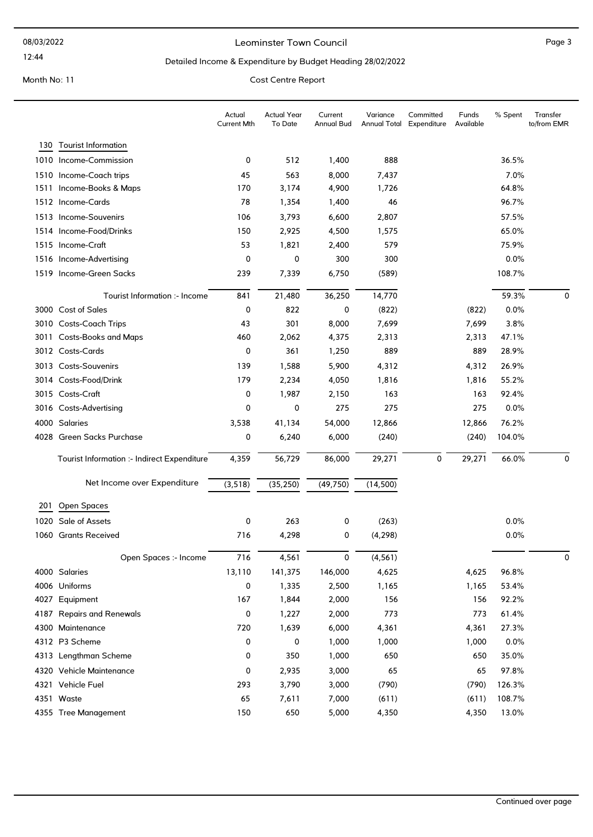#### Leominster Town Council and the contract of the Page 3

### Detailed Income & Expenditure by Budget Heading 28/02/2022

|      |                                             | Actual<br><b>Current Mth</b> | <b>Actual Year</b><br>To Date | Current<br><b>Annual Bud</b> | Variance<br><b>Annual Total</b> | Committed<br>Expenditure | Funds<br>Available | % Spent | Transfer<br>to/from EMR |
|------|---------------------------------------------|------------------------------|-------------------------------|------------------------------|---------------------------------|--------------------------|--------------------|---------|-------------------------|
|      | 130 Tourist Information                     |                              |                               |                              |                                 |                          |                    |         |                         |
|      | 1010 Income-Commission                      | 0                            | 512                           | 1,400                        | 888                             |                          |                    | 36.5%   |                         |
|      | 1510 Income-Coach trips                     | 45                           | 563                           | 8,000                        | 7,437                           |                          |                    | 7.0%    |                         |
| 1511 | Income-Books & Maps                         | 170                          | 3,174                         | 4,900                        | 1,726                           |                          |                    | 64.8%   |                         |
|      | 1512 Income-Cards                           | 78                           | 1,354                         | 1,400                        | 46                              |                          |                    | 96.7%   |                         |
|      | 1513 Income-Souvenirs                       | 106                          | 3,793                         | 6,600                        | 2,807                           |                          |                    | 57.5%   |                         |
|      | 1514 Income-Food/Drinks                     | 150                          | 2,925                         | 4,500                        | 1,575                           |                          |                    | 65.0%   |                         |
|      | 1515 Income-Craft                           | 53                           | 1,821                         | 2,400                        | 579                             |                          |                    | 75.9%   |                         |
|      | 1516 Income-Advertising                     | 0                            | 0                             | 300                          | 300                             |                          |                    | 0.0%    |                         |
|      | 1519 Income-Green Sacks                     | 239                          | 7,339                         | 6,750                        | (589)                           |                          |                    | 108.7%  |                         |
|      | Tourist Information :- Income               | 841                          | 21,480                        | 36,250                       | 14,770                          |                          |                    | 59.3%   | $\mathbf 0$             |
|      | 3000 Cost of Sales                          | 0                            | 822                           | 0                            | (822)                           |                          | (822)              | 0.0%    |                         |
|      | 3010 Costs-Coach Trips                      | 43                           | 301                           | 8,000                        | 7,699                           |                          | 7,699              | 3.8%    |                         |
|      | 3011 Costs-Books and Maps                   | 460                          | 2,062                         | 4,375                        | 2,313                           |                          | 2,313              | 47.1%   |                         |
|      | 3012 Costs-Cards                            | 0                            | 361                           | 1,250                        | 889                             |                          | 889                | 28.9%   |                         |
|      | 3013 Costs-Souvenirs                        | 139                          | 1,588                         | 5,900                        | 4,312                           |                          | 4,312              | 26.9%   |                         |
|      | 3014 Costs-Food/Drink                       | 179                          | 2,234                         | 4,050                        | 1,816                           |                          | 1,816              | 55.2%   |                         |
|      | 3015 Costs-Craft                            | 0                            | 1,987                         | 2,150                        | 163                             |                          | 163                | 92.4%   |                         |
|      | 3016 Costs-Advertising                      | 0                            | 0                             | 275                          | 275                             |                          | 275                | 0.0%    |                         |
|      | 4000 Salaries                               | 3,538                        | 41,134                        | 54,000                       | 12,866                          |                          | 12,866             | 76.2%   |                         |
|      | 4028 Green Sacks Purchase                   | 0                            | 6,240                         | 6,000                        | (240)                           |                          | (240)              | 104.0%  |                         |
|      | Tourist Information :- Indirect Expenditure | 4,359                        | 56,729                        | 86,000                       | 29,271                          | 0                        | 29,271             | 66.0%   | 0                       |
|      | Net Income over Expenditure                 | (3, 518)                     | (35, 250)                     | (49, 750)                    | (14, 500)                       |                          |                    |         |                         |
| 201  | Open Spaces                                 |                              |                               |                              |                                 |                          |                    |         |                         |
|      | 1020 Sale of Assets                         | 0                            | 263                           | 0                            | (263)                           |                          |                    | 0.0%    |                         |
| 1060 | <b>Grants Received</b>                      | 716                          | 4,298                         | 0                            | (4, 298)                        |                          |                    | 0.0%    |                         |
|      | Open Spaces :- Income                       | 716                          | 4,561                         | 0                            | (4, 561)                        |                          |                    |         | 0                       |
|      | 4000 Salaries                               | 13,110                       | 141,375                       | 146,000                      | 4,625                           |                          | 4,625              | 96.8%   |                         |
|      | 4006 Uniforms                               | 0                            | 1,335                         | 2,500                        | 1,165                           |                          | 1,165              | 53.4%   |                         |
|      | 4027 Equipment                              | 167                          | 1,844                         | 2,000                        | 156                             |                          | 156                | 92.2%   |                         |
|      | 4187 Repairs and Renewals                   | 0                            | 1,227                         | 2,000                        | 773                             |                          | 773                | 61.4%   |                         |
|      | 4300 Maintenance                            | 720                          | 1,639                         | 6,000                        | 4,361                           |                          | 4,361              | 27.3%   |                         |
|      | 4312 P3 Scheme                              | 0                            | 0                             | 1,000                        | 1,000                           |                          | 1,000              | 0.0%    |                         |
|      | 4313 Lengthman Scheme                       | 0                            | 350                           | 1,000                        | 650                             |                          | 650                | 35.0%   |                         |
|      | 4320 Vehicle Maintenance                    | 0                            | 2,935                         | 3,000                        | 65                              |                          | 65                 | 97.8%   |                         |
|      | 4321 Vehicle Fuel                           | 293                          | 3,790                         | 3,000                        | (790)                           |                          | (790)              | 126.3%  |                         |
|      | 4351 Waste                                  | 65                           | 7,611                         | 7,000                        | (611)                           |                          | (611)              | 108.7%  |                         |
|      | 4355 Tree Management                        | 150                          | 650                           | 5,000                        | 4,350                           |                          | 4,350              | 13.0%   |                         |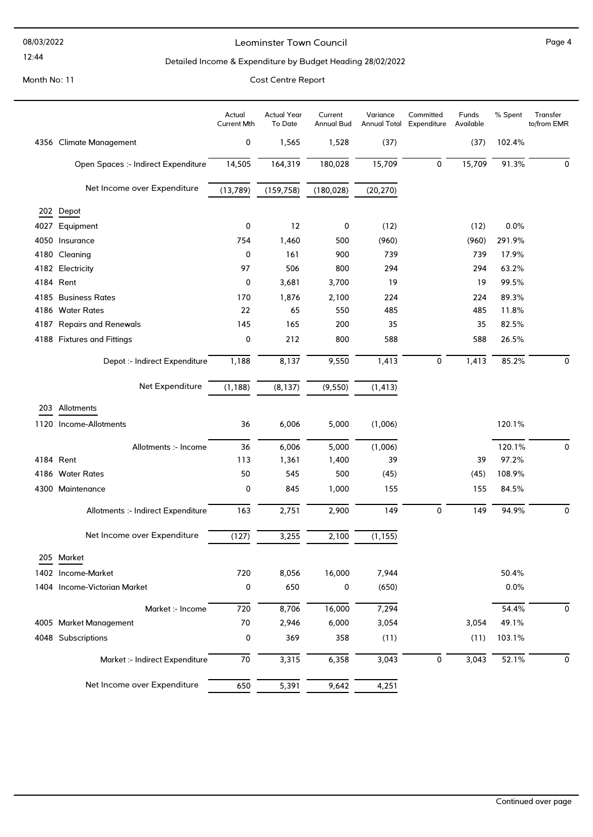#### 08/03/2022

### 12:44

#### Leominster Town Council and the contract of the Page 4

### Detailed Income & Expenditure by Budget Heading 28/02/2022

|                                     | Actual<br><b>Current Mth</b> | <b>Actual Year</b><br>To Date | Current<br>Annual Bud | Variance  | Committed<br>Annual Total Expenditure | Funds<br>Available | % Spent | Transfer<br>to/from EMR |
|-------------------------------------|------------------------------|-------------------------------|-----------------------|-----------|---------------------------------------|--------------------|---------|-------------------------|
| 4356 Climate Management             | 0                            | 1,565                         | 1,528                 | (37)      |                                       | (37)               | 102.4%  |                         |
| Open Spaces :- Indirect Expenditure | 14,505                       | 164,319                       | 180,028               | 15,709    | 0                                     | 15,709             | 91.3%   | 0                       |
| Net Income over Expenditure         | (13,789)                     | (159, 758)                    | (180, 028)            | (20, 270) |                                       |                    |         |                         |
| 202 Depot                           |                              |                               |                       |           |                                       |                    |         |                         |
| 4027 Equipment                      | 0                            | 12                            | 0                     | (12)      |                                       | (12)               | 0.0%    |                         |
| 4050 Insurance                      | 754                          | 1,460                         | 500                   | (960)     |                                       | (960)              | 291.9%  |                         |
| 4180 Cleaning                       | 0                            | 161                           | 900                   | 739       |                                       | 739                | 17.9%   |                         |
| 4182 Electricity                    | 97                           | 506                           | 800                   | 294       |                                       | 294                | 63.2%   |                         |
| 4184 Rent                           | 0                            | 3,681                         | 3,700                 | 19        |                                       | 19                 | 99.5%   |                         |
| 4185 Business Rates                 | 170                          | 1,876                         | 2,100                 | 224       |                                       | 224                | 89.3%   |                         |
| 4186 Water Rates                    | 22                           | 65                            | 550                   | 485       |                                       | 485                | 11.8%   |                         |
| 4187 Repairs and Renewals           | 145                          | 165                           | 200                   | 35        |                                       | 35                 | 82.5%   |                         |
| 4188 Fixtures and Fittings          | 0                            | 212                           | 800                   | 588       |                                       | 588                | 26.5%   |                         |
| Depot :- Indirect Expenditure       | 1,188                        | 8,137                         | 9,550                 | 1,413     | 0                                     | 1,413              | 85.2%   | 0                       |
| Net Expenditure                     | (1, 188)                     | (8, 137)                      | (9, 550)              | (1, 413)  |                                       |                    |         |                         |
| 203 Allotments                      |                              |                               |                       |           |                                       |                    |         |                         |
| 1120 Income-Allotments              | 36                           | 6,006                         | 5,000                 | (1,006)   |                                       |                    | 120.1%  |                         |
| Allotments :- Income                | 36                           | 6,006                         | 5,000                 | (1,006)   |                                       |                    | 120.1%  | 0                       |
| 4184 Rent                           | 113                          | 1,361                         | 1,400                 | 39        |                                       | 39                 | 97.2%   |                         |
| 4186 Water Rates                    | 50                           | 545                           | 500                   | (45)      |                                       | (45)               | 108.9%  |                         |
| 4300 Maintenance                    | 0                            | 845                           | 1,000                 | 155       |                                       | 155                | 84.5%   |                         |
| Allotments :- Indirect Expenditure  | 163                          | 2,751                         | 2,900                 | 149       | 0                                     | 149                | 94.9%   | 0                       |
| Net Income over Expenditure         | (127)                        | 3,255                         | 2,100                 | (1, 155)  |                                       |                    |         |                         |
| 205 Market                          |                              |                               |                       |           |                                       |                    |         |                         |
| 1402 Income-Market                  | 720                          | 8,056                         | 16,000                | 7,944     |                                       |                    | 50.4%   |                         |
| 1404 Income-Victorian Market        | 0                            | 650                           | 0                     | (650)     |                                       |                    | 0.0%    |                         |
| Market :- Income                    | 720                          | 8,706                         | 16,000                | 7,294     |                                       |                    | 54.4%   | 0                       |
| 4005 Market Management              | 70                           | 2,946                         | 6,000                 | 3,054     |                                       | 3,054              | 49.1%   |                         |
| 4048 Subscriptions                  | 0                            | 369                           | 358                   | (11)      |                                       | (11)               | 103.1%  |                         |
| Market :- Indirect Expenditure      | 70                           | 3,315                         | 6,358                 | 3,043     | 0                                     | 3,043              | 52.1%   | 0                       |
| Net Income over Expenditure         | 650                          | 5,391                         | 9,642                 | 4,251     |                                       |                    |         |                         |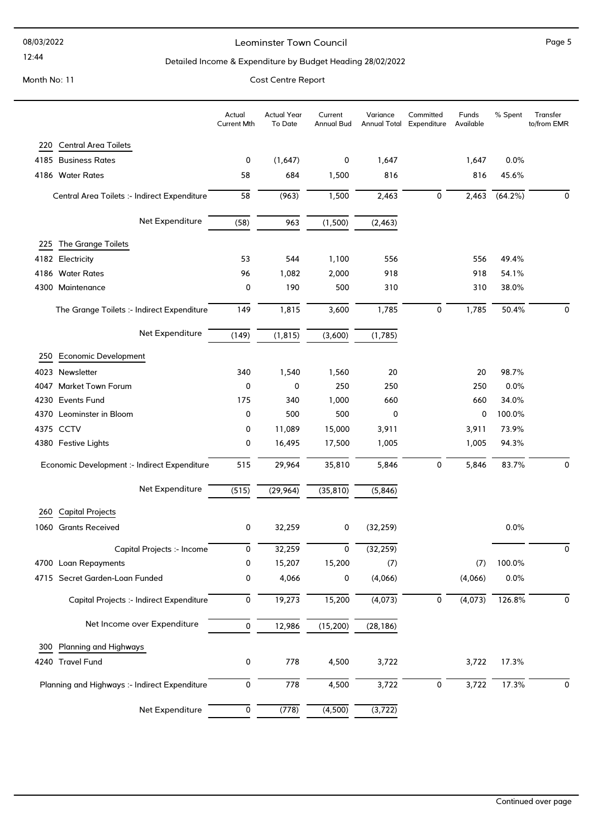#### 08/03/2022

#### 12:44

#### Leominster Town Council and the contract of the Page 5

### Detailed Income & Expenditure by Budget Heading 28/02/2022

|      |                                               | Actual<br><b>Current Mth</b> | <b>Actual Year</b><br>To Date | Current<br>Annual Bud | Variance  | Committed<br>Annual Total Expenditure | Funds<br>Available | % Spent    | Transfer<br>to/from EMR |
|------|-----------------------------------------------|------------------------------|-------------------------------|-----------------------|-----------|---------------------------------------|--------------------|------------|-------------------------|
| 220  | <b>Central Area Toilets</b>                   |                              |                               |                       |           |                                       |                    |            |                         |
|      | 4185 Business Rates                           | 0                            | (1,647)                       | 0                     | 1,647     |                                       | 1,647              | 0.0%       |                         |
|      | 4186 Water Rates                              | 58                           | 684                           | 1,500                 | 816       |                                       | 816                | 45.6%      |                         |
|      | Central Area Toilets :- Indirect Expenditure  | 58                           | (963)                         | 1,500                 | 2,463     | 0                                     | 2,463              | $(64.2\%)$ | 0                       |
|      | Net Expenditure                               | (58)                         | 963                           | (1,500)               | (2, 463)  |                                       |                    |            |                         |
| 225  | The Grange Toilets                            |                              |                               |                       |           |                                       |                    |            |                         |
|      | 4182 Electricity                              | 53                           | 544                           | 1,100                 | 556       |                                       | 556                | 49.4%      |                         |
|      | 4186 Water Rates                              | 96                           | 1,082                         | 2,000                 | 918       |                                       | 918                | 54.1%      |                         |
|      | 4300 Maintenance                              | 0                            | 190                           | 500                   | 310       |                                       | 310                | 38.0%      |                         |
|      | The Grange Toilets :- Indirect Expenditure    | 149                          | 1,815                         | 3,600                 | 1,785     | $\mathsf 0$                           | 1,785              | 50.4%      | 0                       |
|      | Net Expenditure                               | (149)                        | (1, 815)                      | (3,600)               | (1,785)   |                                       |                    |            |                         |
| 250  | <b>Economic Development</b>                   |                              |                               |                       |           |                                       |                    |            |                         |
|      | 4023 Newsletter                               | 340                          | 1,540                         | 1,560                 | 20        |                                       | 20                 | 98.7%      |                         |
|      | 4047 Market Town Forum                        | 0                            | 0                             | 250                   | 250       |                                       | 250                | 0.0%       |                         |
| 4230 | <b>Events Fund</b>                            | 175                          | 340                           | 1,000                 | 660       |                                       | 660                | 34.0%      |                         |
| 4370 | Leominster in Bloom                           | 0                            | 500                           | 500                   | 0         |                                       | 0                  | 100.0%     |                         |
|      | 4375 CCTV                                     | 0                            | 11,089                        | 15,000                | 3,911     |                                       | 3,911              | 73.9%      |                         |
|      | 4380 Festive Lights                           | 0                            | 16,495                        | 17,500                | 1,005     |                                       | 1,005              | 94.3%      |                         |
|      | Economic Development :- Indirect Expenditure  | 515                          | 29,964                        | 35,810                | 5,846     | $\mathsf 0$                           | 5,846              | 83.7%      | 0                       |
|      | Net Expenditure                               | (515)                        | (29, 964)                     | (35, 810)             | (5,846)   |                                       |                    |            |                         |
| 260  | <b>Capital Projects</b>                       |                              |                               |                       |           |                                       |                    |            |                         |
|      | 1060 Grants Received                          | 0                            | 32,259                        | 0                     | (32, 259) |                                       |                    | 0.0%       |                         |
|      | Capital Projects :- Income                    | 0                            | 32,259                        | 0                     | (32, 259) |                                       |                    |            | $\Omega$                |
|      | 4700 Loan Repayments                          | 0                            | 15,207                        | 15,200                | (7)       |                                       | (7)                | 100.0%     |                         |
|      | 4715 Secret Garden-Loan Funded                | 0                            | 4,066                         | 0                     | (4,066)   |                                       | (4,066)            | 0.0%       |                         |
|      | Capital Projects :- Indirect Expenditure      | 0                            | 19,273                        | 15,200                | (4,073)   | 0                                     | (4,073)            | 126.8%     | 0                       |
|      | Net Income over Expenditure                   | 0                            | 12,986                        | (15, 200)             | (28, 186) |                                       |                    |            |                         |
| 300  | <b>Planning and Highways</b>                  |                              |                               |                       |           |                                       |                    |            |                         |
|      | 4240 Travel Fund                              | 0                            | 778                           | 4,500                 | 3,722     |                                       | 3,722              | 17.3%      |                         |
|      | Planning and Highways :- Indirect Expenditure | 0                            | 778                           | 4,500                 | 3,722     | $\pmb{0}$                             | 3,722              | 17.3%      | 0                       |
|      | Net Expenditure                               | 0                            | (778)                         | (4,500)               | (3, 722)  |                                       |                    |            |                         |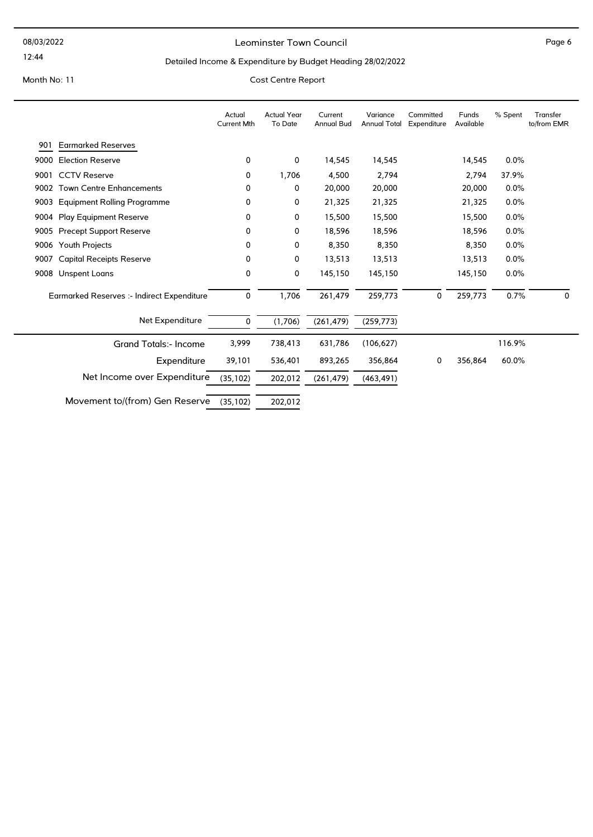### Leominster Town Council and the contract of the Page 6

### Detailed Income & Expenditure by Budget Heading 28/02/2022

|      |                                            | Actual<br><b>Current Mth</b> | <b>Actual Year</b><br>To Date | Current<br><b>Annual Bud</b> | Variance<br><b>Annual Total</b> | Committed<br>Expenditure | Funds<br>Available | % Spent | Transfer<br>to/from EMR |
|------|--------------------------------------------|------------------------------|-------------------------------|------------------------------|---------------------------------|--------------------------|--------------------|---------|-------------------------|
| 901  | <b>Earmarked Reserves</b>                  |                              |                               |                              |                                 |                          |                    |         |                         |
| 9000 | <b>Election Reserve</b>                    | 0                            | 0                             | 14,545                       | 14,545                          |                          | 14,545             | 0.0%    |                         |
| 9001 | <b>CCTV Reserve</b>                        | 0                            | 1,706                         | 4,500                        | 2,794                           |                          | 2,794              | 37.9%   |                         |
| 9002 | <b>Town Centre Enhancements</b>            | 0                            | 0                             | 20,000                       | 20,000                          |                          | 20,000             | 0.0%    |                         |
| 9003 | <b>Equipment Rolling Programme</b>         | 0                            | 0                             | 21,325                       | 21,325                          |                          | 21,325             | 0.0%    |                         |
|      | 9004 Play Equipment Reserve                | 0                            | 0                             | 15,500                       | 15,500                          |                          | 15,500             | 0.0%    |                         |
| 9005 | <b>Precept Support Reserve</b>             | 0                            | 0                             | 18,596                       | 18,596                          |                          | 18,596             | 0.0%    |                         |
| 9006 | Youth Projects                             | 0                            | 0                             | 8,350                        | 8,350                           |                          | 8,350              | 0.0%    |                         |
| 9007 | <b>Capital Receipts Reserve</b>            | 0                            | 0                             | 13,513                       | 13,513                          |                          | 13,513             | 0.0%    |                         |
| 9008 | Unspent Loans                              | 0                            | 0                             | 145,150                      | 145,150                         |                          | 145,150            | 0.0%    |                         |
|      | Earmarked Reserves :- Indirect Expenditure | 0                            | 1,706                         | 261,479                      | 259,773                         | 0                        | 259,773            | 0.7%    | $\mathbf{0}$            |
|      | Net Expenditure                            | 0                            | (1,706)                       | (261, 479)                   | (259, 773)                      |                          |                    |         |                         |
|      | <b>Grand Totals:- Income</b>               | 3,999                        | 738,413                       | 631,786                      | (106, 627)                      |                          |                    | 116.9%  |                         |
|      | Expenditure                                | 39,101                       | 536,401                       | 893,265                      | 356,864                         | 0                        | 356,864            | 60.0%   |                         |
|      | Net Income over Expenditure                | (35, 102)                    | 202,012                       | (261, 479)                   | (463, 491)                      |                          |                    |         |                         |
|      | Movement to/(from) Gen Reserve             | (35, 102)                    | 202,012                       |                              |                                 |                          |                    |         |                         |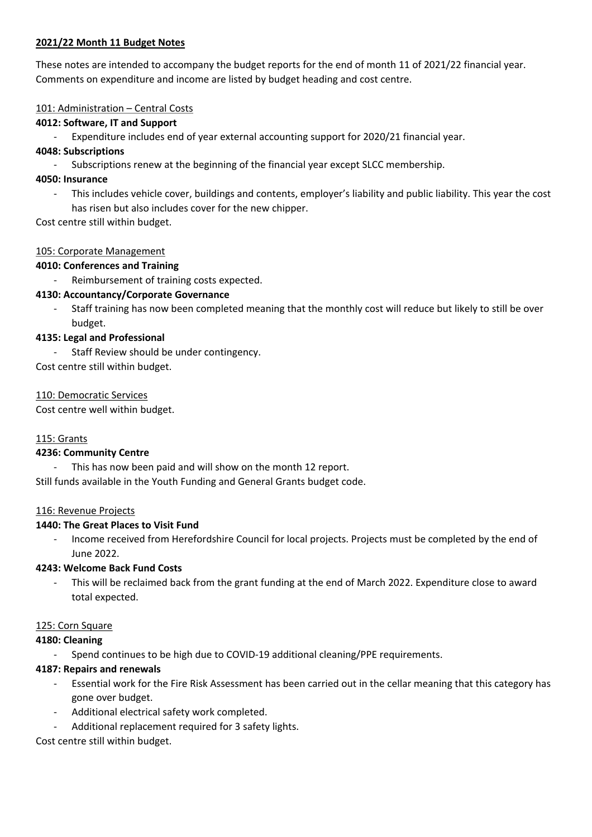### **2021/22 Month 11 Budget Notes**

These notes are intended to accompany the budget reports for the end of month 11 of 2021/22 financial year. Comments on expenditure and income are listed by budget heading and cost centre.

#### 101: Administration - Central Costs

### **4012: Software, IT and Support**

Expenditure includes end of year external accounting support for 2020/21 financial year.

### **4048: Subscriptions**

Subscriptions renew at the beginning of the financial year except SLCC membership.

### **4050: Insurance**

- This includes vehicle cover, buildings and contents, employer's liability and public liability. This year the cost has risen but also includes cover for the new chipper.

Cost centre still within budget.

### 105: Corporate Management

### **4010: Conferences and Training**

Reimbursement of training costs expected.

### **4130: Accountancy/Corporate Governance**

- Staff training has now been completed meaning that the monthly cost will reduce but likely to still be over budget.

### **4135: Legal and Professional**

Staff Review should be under contingency.

Cost centre still within budget.

### 110: Democratic Services

Cost centre well within budget.

## 115: Grants

#### **4236: Community Centre**

This has now been paid and will show on the month 12 report.

Still funds available in the Youth Funding and General Grants budget code.

#### 116: Revenue Projects

## **1440: The Great Places to Visit Fund**

- Income received from Herefordshire Council for local projects. Projects must be completed by the end of June 2022.

#### **4243: Welcome Back Fund Costs**

- This will be reclaimed back from the grant funding at the end of March 2022. Expenditure close to award total expected.

#### 125: Corn Square

#### **4180: Cleaning**

- Spend continues to be high due to COVID-19 additional cleaning/PPE requirements.

## **4187: Repairs and renewals**

- Essential work for the Fire Risk Assessment has been carried out in the cellar meaning that this category has gone over budget.
- Additional electrical safety work completed.
- Additional replacement required for 3 safety lights.

## Cost centre still within budget.